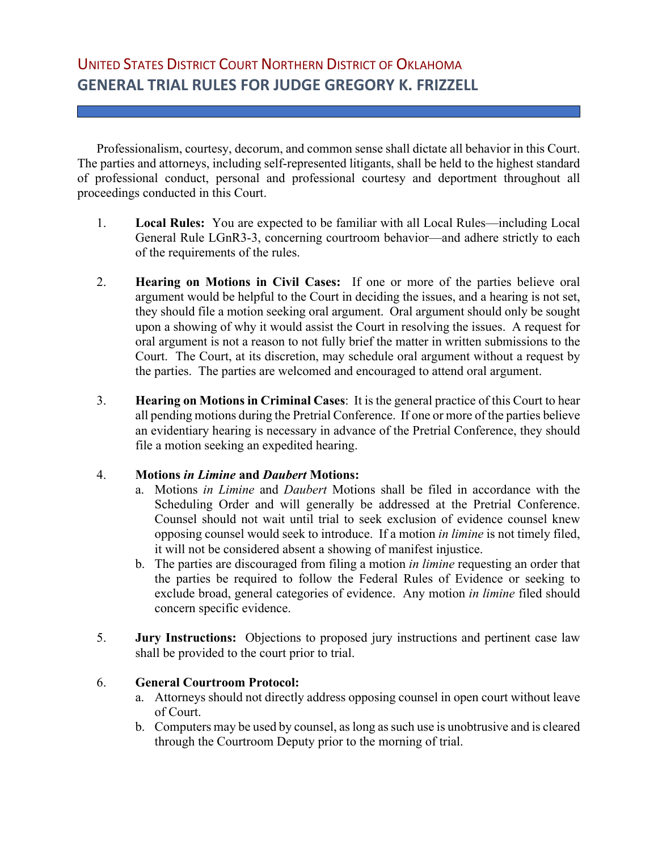Professionalism, courtesy, decorum, and common sense shall dictate all behavior in this Court. The parties and attorneys, including self-represented litigants, shall be held to the highest standard of professional conduct, personal and professional courtesy and deportment throughout all proceedings conducted in this Court.

- 1. **Local Rules:** You are expected to be familiar with all Local Rules—including Local General Rule LGnR3-3, concerning courtroom behavior—and adhere strictly to each of the requirements of the rules.
- 2. **Hearing on Motions in Civil Cases:** If one or more of the parties believe oral argument would be helpful to the Court in deciding the issues, and a hearing is not set, they should file a motion seeking oral argument. Oral argument should only be sought upon a showing of why it would assist the Court in resolving the issues. A request for oral argument is not a reason to not fully brief the matter in written submissions to the Court. The Court, at its discretion, may schedule oral argument without a request by the parties. The parties are welcomed and encouraged to attend oral argument.
- 3. **Hearing on Motions in Criminal Cases**: It is the general practice of this Court to hear all pending motions during the Pretrial Conference. If one or more of the parties believe an evidentiary hearing is necessary in advance of the Pretrial Conference, they should file a motion seeking an expedited hearing.

## 4. **Motions** *in Limine* **and** *Daubert* **Motions:**

- a. Motions *in Limine* and *Daubert* Motions shall be filed in accordance with the Scheduling Order and will generally be addressed at the Pretrial Conference. Counsel should not wait until trial to seek exclusion of evidence counsel knew opposing counsel would seek to introduce. If a motion *in limine* is not timely filed, it will not be considered absent a showing of manifest injustice.
- b. The parties are discouraged from filing a motion *in limine* requesting an order that the parties be required to follow the Federal Rules of Evidence or seeking to exclude broad, general categories of evidence. Any motion *in limine* filed should concern specific evidence.
- 5. **Jury Instructions:** Objections to proposed jury instructions and pertinent case law shall be provided to the court prior to trial.

## 6. **General Courtroom Protocol:**

- a. Attorneys should not directly address opposing counsel in open court without leave of Court.
- b. Computers may be used by counsel, as long as such use is unobtrusive and is cleared through the Courtroom Deputy prior to the morning of trial.